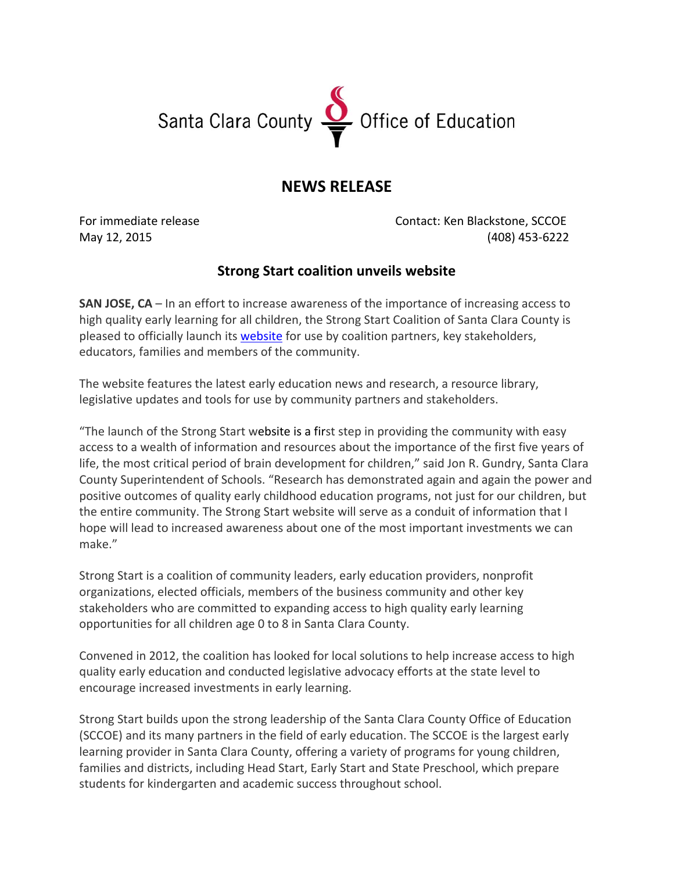## Santa Clara County Superinte of Education

## **NEWS RELEASE**

For immediate release Contact: Ken Blackstone, SCCOE May 12, 2015 (408) 453‐6222

## **Strong Start coalition unveils website**

**SAN JOSE, CA** – In an effort to increase awareness of the importance of increasing access to high quality early learning for all children, the Strong Start Coalition of Santa Clara County is pleased to officially launch its [website](http://strongstartsantaclara.org/home/Pages/default.aspx) for use by coalition partners, key stakeholders, educators, families and members of the community.

The website features the latest early education news and research, a resource library, legislative updates and tools for use by community partners and stakeholders.

"The launch of the Strong Start website is a first step in providing the community with easy access to a wealth of information and resources about the importance of the first five years of life, the most critical period of brain development for children," said Jon R. Gundry, Santa Clara County Superintendent of Schools. "Research has demonstrated again and again the power and positive outcomes of quality early childhood education programs, not just for our children, but the entire community. The Strong Start website will serve as a conduit of information that I hope will lead to increased awareness about one of the most important investments we can make."

Strong Start is a coalition of community leaders, early education providers, nonprofit organizations, elected officials, members of the business community and other key stakeholders who are committed to expanding access to high quality early learning opportunities for all children age 0 to 8 in Santa Clara County.

Convened in 2012, the coalition has looked for local solutions to help increase access to high quality early education and conducted legislative advocacy efforts at the state level to encourage increased investments in early learning.

Strong Start builds upon the strong leadership of the Santa Clara County Office of Education (SCCOE) and its many partners in the field of early education. The SCCOE is the largest early learning provider in Santa Clara County, offering a variety of programs for young children, families and districts, including Head Start, Early Start and State Preschool, which prepare students for kindergarten and academic success throughout school.